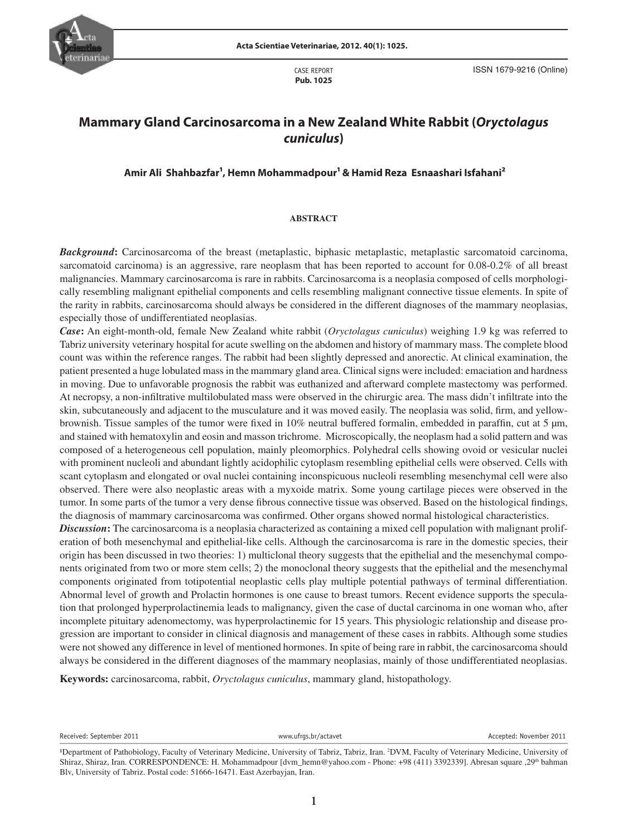

CASE REPORT **Pub. 1025** ISSN 1679-9216 (Online)

# **Mammary Gland Carcinosarcoma in a New Zealand White Rabbit (***Oryctolagus cuniculus***)**

Amir Ali Shahbazfar<sup>1</sup>, Hemn Mohammadpour<sup>1</sup> & Hamid Reza Esnaashari Isfahani<sup>2</sup>

## **ABSTRACT**

*Background***:** Carcinosarcoma of the breast (metaplastic, biphasic metaplastic, metaplastic sarcomatoid carcinoma, sarcomatoid carcinoma) is an aggressive, rare neoplasm that has been reported to account for 0.08-0.2% of all breast malignancies. Mammary carcinosarcoma is rare in rabbits. Carcinosarcoma is a neoplasia composed of cells morphologically resembling malignant epithelial components and cells resembling malignant connective tissue elements. In spite of the rarity in rabbits, carcinosarcoma should always be considered in the different diagnoses of the mammary neoplasias, especially those of undifferentiated neoplasias.

brownish. Tissue samples of the tumor were fixed in 10% neutral buffered formalin, embedded in paraffin, cut at 5 µm, *Case***:** An eight-month-old, female New Zealand white rabbit (*Oryctolagus cuniculus*) weighing 1.9 kg was referred to Tabriz university veterinary hospital for acute swelling on the abdomen and history of mammary mass. The complete blood count was within the reference ranges. The rabbit had been slightly depressed and anorectic. At clinical examination, the patient presented a huge lobulated mass in the mammary gland area. Clinical signs were included: emaciation and hardness in moving. Due to unfavorable prognosis the rabbit was euthanized and afterward complete mastectomy was performed. At necropsy, a non-infiltrative multilobulated mass were observed in the chirurgic area. The mass didn't infiltrate into the skin, subcutaneously and adjacent to the musculature and it was moved easily. The neoplasia was solid, firm, and yellowand stained with hematoxylin and eosin and masson trichrome. Microscopically, the neoplasm had a solid pattern and was composed of a heterogeneous cell population, mainly pleomorphics. Polyhedral cells showing ovoid or vesicular nuclei with prominent nucleoli and abundant lightly acidophilic cytoplasm resembling epithelial cells were observed. Cells with scant cytoplasm and elongated or oval nuclei containing inconspicuous nucleoli resembling mesenchymal cell were also observed. There were also neoplastic areas with a myxoide matrix. Some young cartilage pieces were observed in the tumor. In some parts of the tumor a very dense fibrous connective tissue was observed. Based on the histological findings, the diagnosis of mammary carcinosarcoma was confirmed. Other organs showed normal histological characteristics.

*Discussion*: The carcinosarcoma is a neoplasia characterized as containing a mixed cell population with malignant proliferation of both mesenchymal and epithelial-like cells. Although the carcinosarcoma is rare in the domestic species, their origin has been discussed in two theories: 1) multiclonal theory suggests that the epithelial and the mesenchymal components originated from two or more stem cells; 2) the monoclonal theory suggests that the epithelial and the mesenchymal components originated from totipotential neoplastic cells play multiple potential pathways of terminal differentiation. Abnormal level of growth and Prolactin hormones is one cause to breast tumors. Recent evidence supports the speculation that prolonged hyperprolactinemia leads to malignancy, given the case of ductal carcinoma in one woman who, after incomplete pituitary adenomectomy, was hyperprolactinemic for 15 years. This physiologic relationship and disease progression are important to consider in clinical diagnosis and management of these cases in rabbits. Although some studies were not showed any difference in level of mentioned hormones. In spite of being rare in rabbit, the carcinosarcoma should always be considered in the different diagnoses of the mammary neoplasias, mainly of those undifferentiated neoplasias.

**Keywords:** carcinosarcoma, rabbit, *Oryctolagus cuniculus*, mammary gland, histopathology.

Received: September 2011 **Accepted: November 2011** www.ufrgs.br/actavet **Accepted: November 2011** Accepted: November 2011

<sup>&</sup>lt;sup>1</sup>Department of Pathobiology, Faculty of Veterinary Medicine, University of Tabriz, Tabriz, Iran. <sup>2</sup>DVM, Faculty of Veterinary Medicine, University of Shiraz, Shiraz, Iran. CORRESPONDENCE: H. Mohammadpour [dvm\_hemn@yahoo.com - Phone: +98 (411) 3392339]. Abresan square ,29<sup>th</sup> bahman Blv, University of Tabriz. Postal code: 51666-16471. East Azerbayjan, Iran.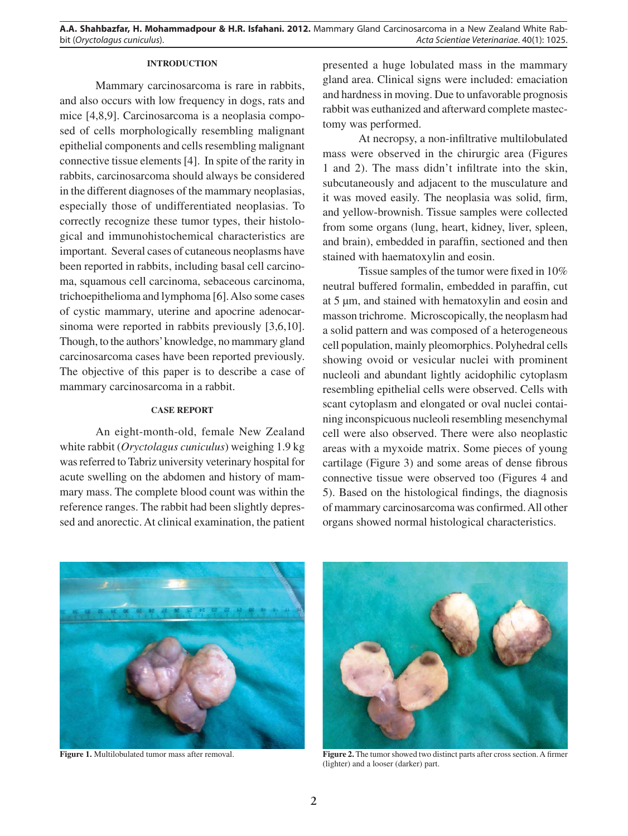**A.A. Shahbazfar, H. Mohammadpour & H.R. Isfahani. 2012.** Mammary Gland Carcinosarcoma in a New Zealand White Rab-Acta Scientiae Veterinariae. 40(1): 1025.

# **INTRODUCTION**

Mammary carcinosarcoma is rare in rabbits, and also occurs with low frequency in dogs, rats and mice [4,8,9]. Carcinosarcoma is a neoplasia composed of cells morphologically resembling malignant epithelial components and cells resembling malignant connective tissue elements [4]. In spite of the rarity in rabbits, carcinosarcoma should always be considered in the different diagnoses of the mammary neoplasias, especially those of undifferentiated neoplasias. To correctly recognize these tumor types, their histological and immunohistochemical characteristics are important. Several cases of cutaneous neoplasms have been reported in rabbits, including basal cell carcinoma, squamous cell carcinoma, sebaceous carcinoma, trichoepithelioma and lymphoma [6]. Also some cases of cystic mammary, uterine and apocrine adenocarsinoma were reported in rabbits previously [3,6,10]. Though, to the authors' knowledge, no mammary gland carcinosarcoma cases have been reported previously. The objective of this paper is to describe a case of mammary carcinosarcoma in a rabbit.

#### **CASE REPORT**

An eight-month-old, female New Zealand white rabbit (*Oryctolagus cuniculus*) weighing 1.9 kg was referred to Tabriz university veterinary hospital for acute swelling on the abdomen and history of mammary mass. The complete blood count was within the reference ranges. The rabbit had been slightly depressed and anorectic. At clinical examination, the patient presented a huge lobulated mass in the mammary gland area. Clinical signs were included: emaciation and hardness in moving. Due to unfavorable prognosis rabbit was euthanized and afterward complete mastectomy was performed.

At necropsy, a non-infiltrative multilobulated mass were observed in the chirurgic area (Figures 1 and 2). The mass didn't infiltrate into the skin, subcutaneously and adjacent to the musculature and it was moved easily. The neoplasia was solid, firm, and yellow-brownish. Tissue samples were collected from some organs (lung, heart, kidney, liver, spleen, and brain), embedded in paraffin, sectioned and then stained with haematoxylin and eosin.

Tissue samples of the tumor were fixed in 10% neutral buffered formalin, embedded in paraffin, cut at 5 µm, and stained with hematoxylin and eosin and masson trichrome. Microscopically, the neoplasm had a solid pattern and was composed of a heterogeneous cell population, mainly pleomorphics. Polyhedral cells showing ovoid or vesicular nuclei with prominent nucleoli and abundant lightly acidophilic cytoplasm resembling epithelial cells were observed. Cells with scant cytoplasm and elongated or oval nuclei containing inconspicuous nucleoli resembling mesenchymal cell were also observed. There were also neoplastic areas with a myxoide matrix. Some pieces of young cartilage (Figure 3) and some areas of dense fibrous connective tissue were observed too (Figures 4 and 5). Based on the histological findings, the diagnosis of mammary carcinosarcoma was confirmed. All other organs showed normal histological characteristics.





**Figure 1.** Multilobulated tumor mass after removal. **Figure 2.** The tumor showed two distinct parts after cross section. A firmer (lighter) and a looser (darker) part.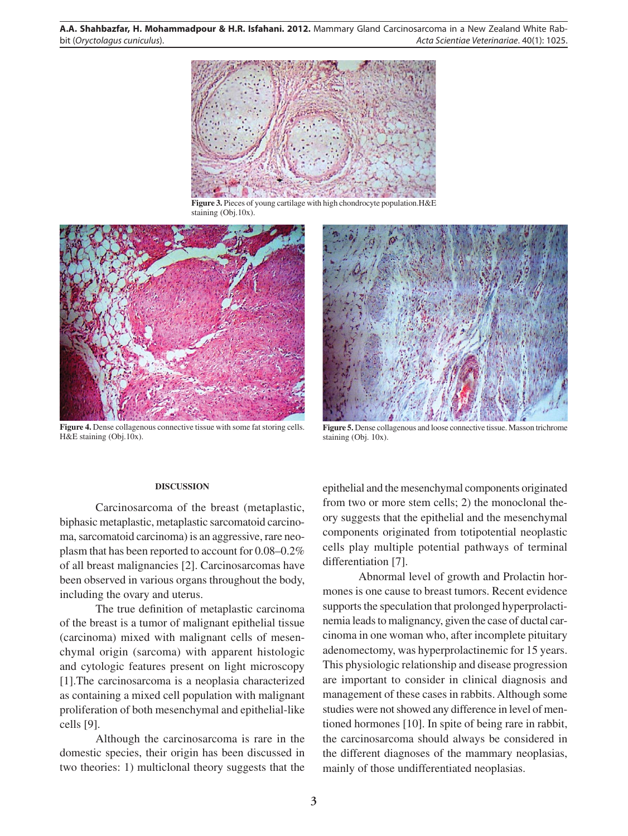**A.A. Shahbazfar, H. Mohammadpour & H.R. Isfahani. 2012.** Mammary Gland Carcinosarcoma in a New Zealand White Rabbit (Oryctolagus cuniculus). Acta Scientiae Veterinariae. 40(1): 1025.



**Figure 3.** Pieces of young cartilage with high chondrocyte population.H&E staining (Obj.10x).



**Figure 4.** Dense collagenous connective tissue with some fat storing cells. H&E staining (Obj.10x).



Figure 5. Dense collagenous and loose connective tissue. Masson trichrome staining (Obj. 10x).

# **DISCUSSION**

Carcinosarcoma of the breast (metaplastic, biphasic metaplastic, metaplastic sarcomatoid carcinoma, sarcomatoid carcinoma) is an aggressive, rare neoplasm that has been reported to account for 0.08–0.2% of all breast malignancies [2]. Carcinosarcomas have been observed in various organs throughout the body, including the ovary and uterus.

The true definition of metaplastic carcinoma of the breast is a tumor of malignant epithelial tissue (carcinoma) mixed with malignant cells of mesenchymal origin (sarcoma) with apparent histologic and cytologic features present on light microscopy [1].The carcinosarcoma is a neoplasia characterized as containing a mixed cell population with malignant proliferation of both mesenchymal and epithelial-like cells [9].

Although the carcinosarcoma is rare in the domestic species, their origin has been discussed in two theories: 1) multiclonal theory suggests that the

epithelial and the mesenchymal components originated from two or more stem cells; 2) the monoclonal theory suggests that the epithelial and the mesenchymal components originated from totipotential neoplastic cells play multiple potential pathways of terminal differentiation [7].

Abnormal level of growth and Prolactin hormones is one cause to breast tumors. Recent evidence supports the speculation that prolonged hyperprolactinemia leads to malignancy, given the case of ductal carcinoma in one woman who, after incomplete pituitary adenomectomy, was hyperprolactinemic for 15 years. This physiologic relationship and disease progression are important to consider in clinical diagnosis and management of these cases in rabbits. Although some studies were not showed any difference in level of mentioned hormones [10]. In spite of being rare in rabbit, the carcinosarcoma should always be considered in the different diagnoses of the mammary neoplasias, mainly of those undifferentiated neoplasias.